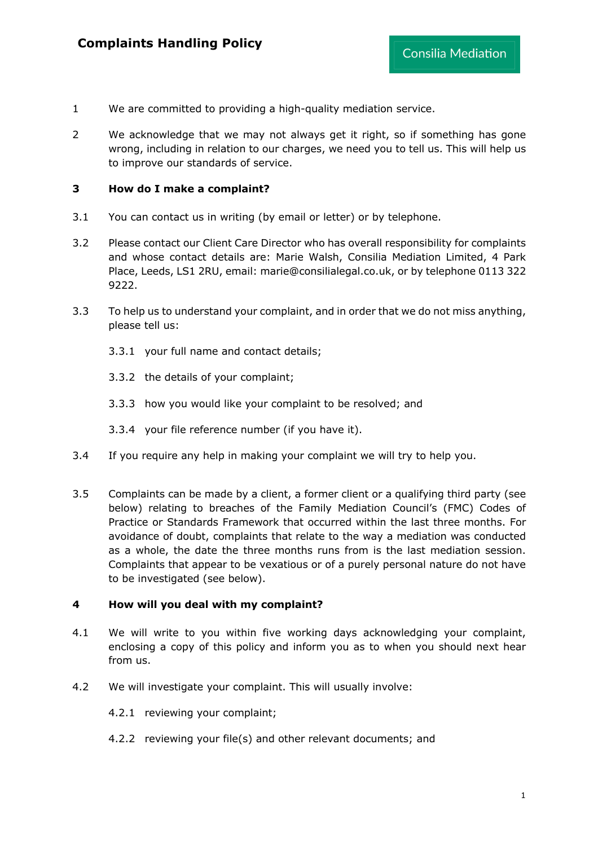- 1 We are committed to providing a high-quality mediation service.
- 2 We acknowledge that we may not always get it right, so if something has gone wrong, including in relation to our charges, we need you to tell us. This will help us to improve our standards of service.

#### **3 How do I make a complaint?**

- 3.1 You can contact us in writing (by email or letter) or by telephone.
- 3.2 Please contact our Client Care Director who has overall responsibility for complaints and whose contact details are: Marie Walsh, Consilia Mediation Limited, 4 Park Place, Leeds, LS1 2RU, email: marie@consilialegal.co.uk, or by telephone 0113 322 9222.
- 3.3 To help us to understand your complaint, and in order that we do not miss anything, please tell us:
	- 3.3.1 your full name and contact details;
	- 3.3.2 the details of your complaint;
	- 3.3.3 how you would like your complaint to be resolved; and
	- 3.3.4 your file reference number (if you have it).
- 3.4 If you require any help in making your complaint we will try to help you.
- 3.5 Complaints can be made by a client, a former client or a qualifying third party (see below) relating to breaches of the Family Mediation Council's (FMC) Codes of Practice or Standards Framework that occurred within the last three months. For avoidance of doubt, complaints that relate to the way a mediation was conducted as a whole, the date the three months runs from is the last mediation session. Complaints that appear to be vexatious or of a purely personal nature do not have to be investigated (see below).

#### **4 How will you deal with my complaint?**

- 4.1 We will write to you within five working days acknowledging your complaint, enclosing a copy of this policy and inform you as to when you should next hear from us.
- 4.2 We will investigate your complaint. This will usually involve:
	- 4.2.1 reviewing your complaint;
	- 4.2.2 reviewing your file(s) and other relevant documents; and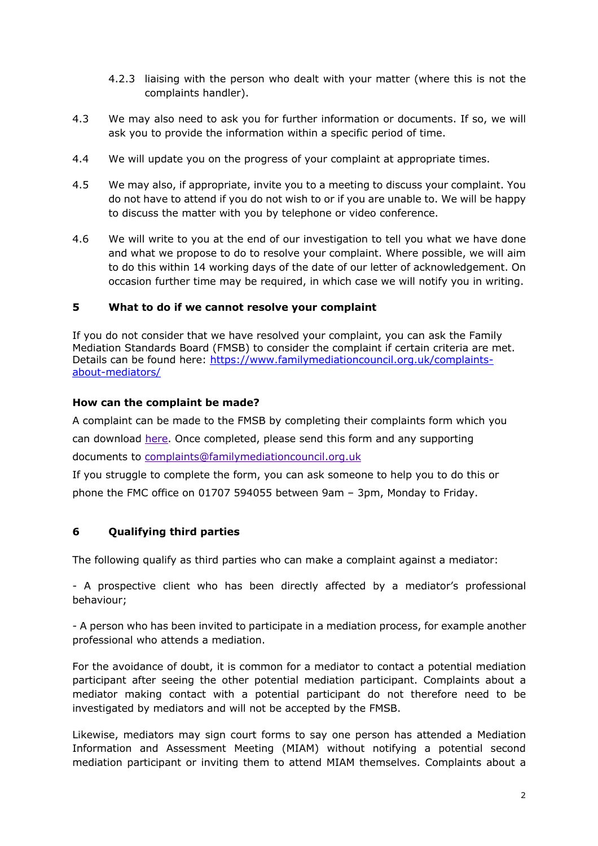- 4.2.3 liaising with the person who dealt with your matter (where this is not the complaints handler).
- 4.3 We may also need to ask you for further information or documents. If so, we will ask you to provide the information within a specific period of time.
- 4.4 We will update you on the progress of your complaint at appropriate times.
- 4.5 We may also, if appropriate, invite you to a meeting to discuss your complaint. You do not have to attend if you do not wish to or if you are unable to. We will be happy to discuss the matter with you by telephone or video conference.
- 4.6 We will write to you at the end of our investigation to tell you what we have done and what we propose to do to resolve your complaint. Where possible, we will aim to do this within 14 working days of the date of our letter of acknowledgement. On occasion further time may be required, in which case we will notify you in writing.

### **5 What to do if we cannot resolve your complaint**

If you do not consider that we have resolved your complaint, you can ask the Family Mediation Standards Board (FMSB) to consider the complaint if certain criteria are met. Details can be found here: https://www.familymediationcouncil.org.uk/complaintsabout-mediators/

#### **How can the complaint be made?**

A complaint can be made to the FMSB by completing their complaints form which you can download here. Once completed, please send this form and any supporting documents to complaints@familymediationcouncil.org.uk

If you struggle to complete the form, you can ask someone to help you to do this or phone the FMC office on 01707 594055 between 9am – 3pm, Monday to Friday.

## **6 Qualifying third parties**

The following qualify as third parties who can make a complaint against a mediator:

- A prospective client who has been directly affected by a mediator's professional behaviour;

- A person who has been invited to participate in a mediation process, for example another professional who attends a mediation.

For the avoidance of doubt, it is common for a mediator to contact a potential mediation participant after seeing the other potential mediation participant. Complaints about a mediator making contact with a potential participant do not therefore need to be investigated by mediators and will not be accepted by the FMSB.

Likewise, mediators may sign court forms to say one person has attended a Mediation Information and Assessment Meeting (MIAM) without notifying a potential second mediation participant or inviting them to attend MIAM themselves. Complaints about a